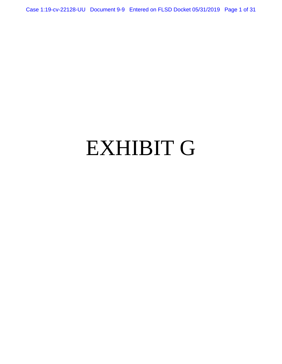Case 1:19-cv-22128-UU Document 9-9 Entered on FLSD Docket 05/31/2019 Page 1 of 31

# EXHIBIT G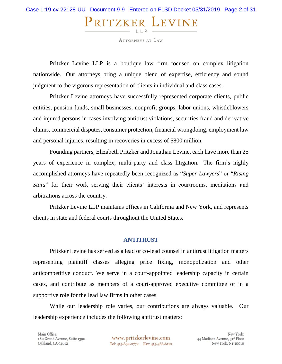# Case 1:19-cv-22128-UU Document 9-9 Entered on FLSD Docket 05/31/2019 Page 2 of 31PRITZKER LEVINE  $LLP -$

**ATTORNEYS AT LAW** 

Pritzker Levine LLP is a boutique law firm focused on complex litigation nationwide. Our attorneys bring a unique blend of expertise, efficiency and sound judgment to the vigorous representation of clients in individual and class cases.

Pritzker Levine attorneys have successfully represented corporate clients, public entities, pension funds, small businesses, nonprofit groups, labor unions, whistleblowers and injured persons in cases involving antitrust violations, securities fraud and derivative claims, commercial disputes, consumer protection, financial wrongdoing, employment law and personal injuries, resulting in recoveries in excess of \$800 million.

Founding partners, Elizabeth Pritzker and Jonathan Levine, each have more than 25 years of experience in complex, multi-party and class litigation. The firm's highly accomplished attorneys have repeatedly been recognized as "*Super Lawyers*" or "*Rising Stars*" for their work serving their clients' interests in courtrooms, mediations and arbitrations across the country.

Pritzker Levine LLP maintains offices in California and New York, and represents clients in state and federal courts throughout the United States.

#### **ANTITRUST**

Pritzker Levine has served as a lead or co-lead counsel in antitrust litigation matters representing plaintiff classes alleging price fixing, monopolization and other anticompetitive conduct. We serve in a court-appointed leadership capacity in certain cases, and contribute as members of a court-approved executive committee or in a supportive role for the lead law firms in other cases.

While our leadership role varies, our contributions are always valuable. Our leadership experience includes the following antitrust matters:

Main Office: 180 Grand Avenue, Suite 1390 Oakland, CA 94612

www.pritzkerlevine.com Tel: 415-692-0772 | Fax: 415-366-6110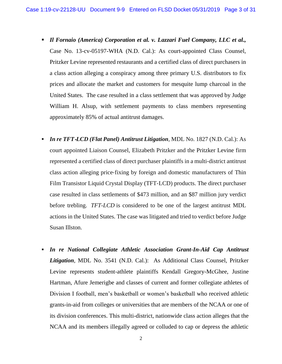- *Il Fornaio (America) Corporation et al. v. Lazzari Fuel Company, LLC et al.,* Case No. 13-cv-05197-WHA (N.D. Cal.): As court-appointed Class Counsel, Pritzker Levine represented restaurants and a certified class of direct purchasers in a class action alleging a conspiracy among three primary U.S. distributors to fix prices and allocate the market and customers for mesquite lump charcoal in the United States. The case resulted in a class settlement that was approved by Judge William H. Alsup, with settlement payments to class members representing approximately 85% of actual antitrust damages.
- *In re TFT*‐*LCD (Flat Panel) Antitrust Litigation*, MDL No. 1827 (N.D. Cal.): As court appointed Liaison Counsel, Elizabeth Pritzker and the Pritzker Levine firm represented a certified class of direct purchaser plaintiffs in a multi‐district antitrust class action alleging price‐fixing by foreign and domestic manufacturers of Thin Film Transistor Liquid Crystal Display (TFT‐LCD) products. The direct purchaser case resulted in class settlements of \$473 million, and an \$87 million jury verdict before trebling. *TFT-LCD* is considered to be one of the largest antitrust MDL actions in the United States. The case was litigated and tried to verdict before Judge Susan Illston.
- **In re National Collegiate Athletic Association Grant-In-Aid Cap Antitrust** *Litigation*, MDL No. 3541 (N.D. Cal.): As Additional Class Counsel, Pritzker Levine represents student-athlete plaintiffs Kendall Gregory-McGhee, Justine Hartman, Afure Jemerigbe and classes of current and former collegiate athletes of Division I football, men's basketball or women's basketball who received athletic grants-in-aid from colleges or universities that are members of the NCAA or one of its division conferences. This multi-district, nationwide class action alleges that the NCAA and its members illegally agreed or colluded to cap or depress the athletic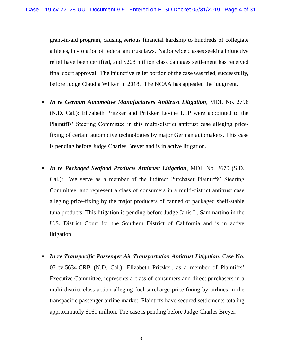grant-in-aid program, causing serious financial hardship to hundreds of collegiate athletes, in violation of federal antitrust laws. Nationwide classes seeking injunctive relief have been certified, and \$208 million class damages settlement has received final court approval. The injunctive relief portion of the case was tried, successfully, before Judge Claudia Wilken in 2018. The NCAA has appealed the judgment.

- *In re German Automotive Manufacturers Antitrust Litigation*, MDL No. 2796 (N.D. Cal.): Elizabeth Pritzker and Pritzker Levine LLP were appointed to the Plaintiffs' Steering Committee in this multi-district antitrust case alleging pricefixing of certain automotive technologies by major German automakers. This case is pending before Judge Charles Breyer and is in active litigation.
- *In re Packaged Seafood Products Antitrust Litigation*, MDL No. 2670 (S.D. Cal.): We serve as a member of the Indirect Purchaser Plaintiffs' Steering Committee, and represent a class of consumers in a multi-district antitrust case alleging price-fixing by the major producers of canned or packaged shelf-stable tuna products. This litigation is pending before Judge Janis L. Sammartino in the U.S. District Court for the Southern District of California and is in active litigation.
- *In re Transpacific Passenger Air Transportation Antitrust Litigation*, Case No. 07-cv-5634-CRB (N.D. Cal.): Elizabeth Pritzker, as a member of Plaintiffs' Executive Committee, represents a class of consumers and direct purchasers in a multi‐district class action alleging fuel surcharge price‐fixing by airlines in the transpacific passenger airline market. Plaintiffs have secured settlements totaling approximately \$160 million. The case is pending before Judge Charles Breyer.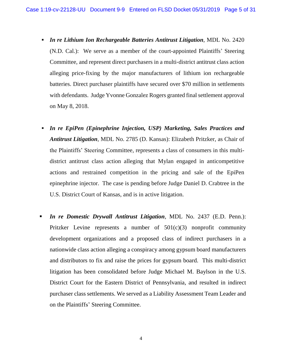- *In re Lithium Ion Rechargeable Batteries Antitrust Litigation*, MDL No. 2420 (N.D. Cal.): We serve as a member of the court-appointed Plaintiffs' Steering Committee, and represent direct purchasers in a multi‐district antitrust class action alleging price‐fixing by the major manufacturers of lithium ion rechargeable batteries. Direct purchaser plaintiffs have secured over \$70 million in settlements with defendants. Judge Yvonne Gonzalez Rogers granted final settlement approval on May 8, 2018.
- *In re EpiPen (Epinephrine Injection, USP) Marketing, Sales Practices and Antitrust Litigation*, MDL No. 2785 (D. Kansas): Elizabeth Pritzker, as Chair of the Plaintiffs' Steering Committee, represents a class of consumers in this multidistrict antitrust class action alleging that Mylan engaged in anticompetitive actions and restrained competition in the pricing and sale of the EpiPen epinephrine injector. The case is pending before Judge Daniel D. Crabtree in the U.S. District Court of Kansas, and is in active litigation.
- *In re Domestic Drywall Antitrust Litigation*, MDL No. 2437 (E.D. Penn.): Pritzker Levine represents a number of  $501(c)(3)$  nonprofit community development organizations and a proposed class of indirect purchasers in a nationwide class action alleging a conspiracy among gypsum board manufacturers and distributors to fix and raise the prices for gypsum board. This multi-district litigation has been consolidated before Judge Michael M. Baylson in the U.S. District Court for the Eastern District of Pennsylvania, and resulted in indirect purchaser class settlements. We served as a Liability Assessment Team Leader and on the Plaintiffs' Steering Committee.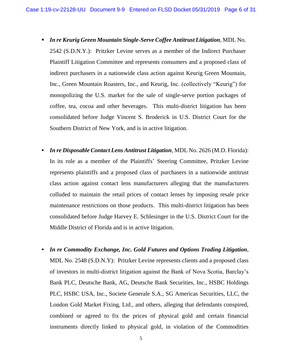- *In re Keurig Green Mountain Single-Serve Coffee Antitrust Litigation*, MDL No. 2542 (S.D.N.Y.): Pritzker Levine serves as a member of the Indirect Purchaser Plaintiff Litigation Committee and represents consumers and a proposed class of indirect purchasers in a nationwide class action against Keurig Green Mountain, Inc., Green Mountain Roasters, Inc., and Keurig, Inc. (collectively "Keurig") for monopolizing the U.S. market for the sale of single-serve portion packages of coffee, tea, cocoa and other beverages. This multi-district litigation has been consolidated before Judge Vincent S. Broderick in U.S. District Court for the Southern District of New York, and is in active litigation.
- *In re Disposable Contact Lens Antitrust Litigation,* MDL No. 2626 (M.D. Florida): In its role as a member of the Plaintiffs' Steering Committee, Pritzker Levine represents plaintiffs and a proposed class of purchasers in a nationwide antitrust class action against contact lens manufacturers alleging that the manufacturers colluded to maintain the retail prices of contact lenses by imposing resale price maintenance restrictions on those products. This multi-district litigation has been consolidated before Judge Harvey E. Schlesinger in the U.S. District Court for the Middle District of Florida and is in active litigation.
- *In re Commodity Exchange, Inc. Gold Futures and Options Trading Litigation*, MDL No. 2548 (S.D.N.Y): Pritzker Levine represents clients and a proposed class of investors in multi-district litigation against the Bank of Nova Scotia, Barclay's Bank PLC, Deutsche Bank, AG, Deutsche Bank Securities, Inc., HSBC Holdings PLC, HSBC USA, Inc., Societe Generale S.A., SG Americas Securities, LLC, the London Gold Market Fixing, Ltd., and others, alleging that defendants conspired, combined or agreed to fix the prices of physical gold and certain financial instruments directly linked to physical gold, in violation of the Commodities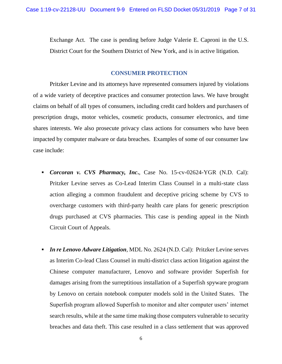Exchange Act. The case is pending before Judge Valerie E. Caproni in the U.S. District Court for the Southern District of New York, and is in active litigation.

# **CONSUMER PROTECTION**

Pritzker Levine and its attorneys have represented consumers injured by violations of a wide variety of deceptive practices and consumer protection laws. We have brought claims on behalf of all types of consumers, including credit card holders and purchasers of prescription drugs, motor vehicles, cosmetic products, consumer electronics, and time shares interests. We also prosecute privacy class actions for consumers who have been impacted by computer malware or data breaches. Examples of some of our consumer law case include:

- *Corcoran v. CVS Pharmacy, Inc***.**, Case No. 15-cv-02624-YGR (N.D. Cal): Pritzker Levine serves as Co-Lead Interim Class Counsel in a multi-state class action alleging a common fraudulent and deceptive pricing scheme by CVS to overcharge customers with third-party health care plans for generic prescription drugs purchased at CVS pharmacies. This case is pending appeal in the Ninth Circuit Court of Appeals.
- *In re Lenovo Adware Litigation,* MDL No. 2624 (N.D. Cal): Pritzker Levine serves as Interim Co-lead Class Counsel in multi-district class action litigation against the Chinese computer manufacturer, Lenovo and software provider Superfish for damages arising from the surreptitious installation of a Superfish spyware program by Lenovo on certain notebook computer models sold in the United States. The Superfish program allowed Superfish to monitor and alter computer users' internet search results, while at the same time making those computers vulnerable to security breaches and data theft. This case resulted in a class settlement that was approved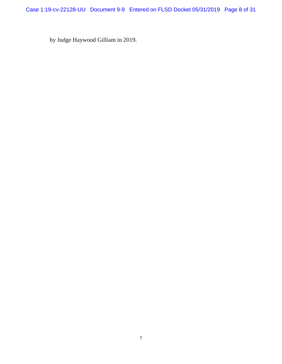Case 1:19-cv-22128-UU Document 9-9 Entered on FLSD Docket 05/31/2019 Page 8 of 31

by Judge Haywood Gilliam in 2019.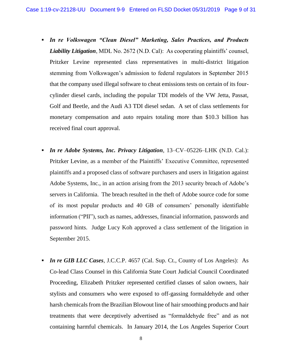- *In re Volkswagen "Clean Diesel" Marketing, Sales Practices, and Products Liability Litigation*, MDL No. 2672 (N.D. Cal): As cooperating plaintiffs' counsel, Pritzker Levine represented class representatives in multi-district litigation stemming from Volkswagen's admission to federal regulators in September 2015 that the company used illegal software to cheat emissions tests on certain of its fourcylinder diesel cards, including the popular TDI models of the VW Jetta, Passat, Golf and Beetle, and the Audi A3 TDI diesel sedan. A set of class settlements for monetary compensation and auto repairs totaling more than \$10.3 billion has received final court approval.
- *In re Adobe Systems, Inc. Privacy Litigation*, 13–CV–05226–LHK (N.D. Cal.): Pritzker Levine, as a member of the Plaintiffs' Executive Committee, represented plaintiffs and a proposed class of software purchasers and users in litigation against Adobe Systems, Inc., in an action arising from the 2013 security breach of Adobe's servers in California. The breach resulted in the theft of Adobe source code for some of its most popular products and 40 GB of consumers' personally identifiable information ("PII"), such as names, addresses, financial information, passwords and password hints. Judge Lucy Koh approved a class settlement of the litigation in September 2015.
- *In re GIB LLC Cases*, J.C.C.P. 4657 (Cal. Sup. Ct., County of Los Angeles): As Co-lead Class Counsel in this California State Court Judicial Council Coordinated Proceeding, Elizabeth Pritzker represented certified classes of salon owners, hair stylists and consumers who were exposed to off‐gassing formaldehyde and other harsh chemicals from the Brazilian Blowout line of hair smoothing products and hair treatments that were deceptively advertised as "formaldehyde free" and as not containing harmful chemicals. In January 2014, the Los Angeles Superior Court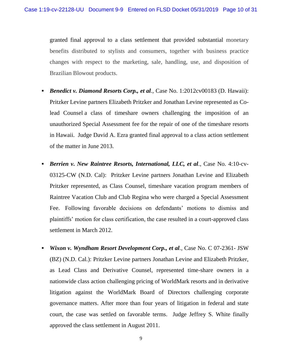granted final approval to a class settlement that provided substantial monetary benefits distributed to stylists and consumers, together with business practice changes with respect to the marketing, sale, handling, use, and disposition of Brazilian Blowout products.

- *Benedict v. Diamond Resorts Corp., et al.,* Case No. 1:2012cv00183 (D. Hawaii): Pritzker Levine partners Elizabeth Pritzker and Jonathan Levine represented as Colead Counsel a class of timeshare owners challenging the imposition of an unauthorized Special Assessment fee for the repair of one of the timeshare resorts in Hawaii. Judge David A. Ezra granted final approval to a class action settlement of the matter in June 2013.
- *Berrien v. New Raintree Resorts, International, LLC, et al.,* Case No. 4:10-cv-03125-CW (N.D. Cal): Pritzker Levine partners Jonathan Levine and Elizabeth Pritzker represented, as Class Counsel, timeshare vacation program members of Raintree Vacation Club and Club Regina who were charged a Special Assessment Fee. Following favorable decisions on defendants' motions to dismiss and plaintiffs' motion for class certification, the case resulted in a court-approved class settlement in March 2012.
- *Wixon v. Wyndham Resort Development Corp., et al.,* Case No. C 07-2361- JSW (BZ) (N.D. Cal.): Pritzker Levine partners Jonathan Levine and Elizabeth Pritzker, as Lead Class and Derivative Counsel, represented time-share owners in a nationwide class action challenging pricing of WorldMark resorts and in derivative litigation against the WorldMark Board of Directors challenging corporate governance matters. After more than four years of litigation in federal and state court, the case was settled on favorable terms. Judge Jeffrey S. White finally approved the class settlement in August 2011.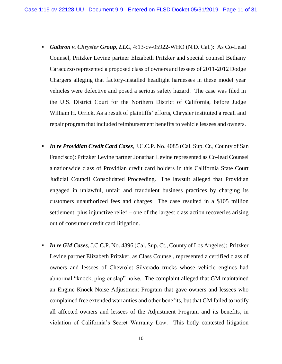- *Gathron v. Chrysler Group, LLC*, 4:13-cv-05922-WHO (N.D. Cal.): As Co-Lead Counsel, Pritzker Levine partner Elizabeth Pritzker and special counsel Bethany Caracuzzo represented a proposed class of owners and lessees of 2011-2012 Dodge Chargers alleging that factory-installed headlight harnesses in these model year vehicles were defective and posed a serious safety hazard. The case was filed in the U.S. District Court for the Northern District of California, before Judge William H. Orrick. As a result of plaintiffs' efforts, Chrysler instituted a recall and repair program that included reimbursement benefits to vehicle lessees and owners.
- *In re Providian Credit Card Cases*, J.C.C.P. No. 4085 (Cal. Sup. Ct., County of San Francisco): Pritzker Levine partner Jonathan Levine represented as Co-lead Counsel a nationwide class of Providian credit card holders in this California State Court Judicial Council Consolidated Proceeding. The lawsuit alleged that Providian engaged in unlawful, unfair and fraudulent business practices by charging its customers unauthorized fees and charges. The case resulted in a \$105 million settlement, plus injunctive relief – one of the largest class action recoveries arising out of consumer credit card litigation.
- *In re GM Cases,*J.C.C.P. No. 4396 (Cal. Sup. Ct., County of Los Angeles): Pritzker Levine partner Elizabeth Pritzker, as Class Counsel, represented a certified class of owners and lessees of Chevrolet Silverado trucks whose vehicle engines had abnormal "knock, ping or slap" noise. The complaint alleged that GM maintained an Engine Knock Noise Adjustment Program that gave owners and lessees who complained free extended warranties and other benefits, but that GM failed to notify all affected owners and lessees of the Adjustment Program and its benefits, in violation of California's Secret Warranty Law. This hotly contested litigation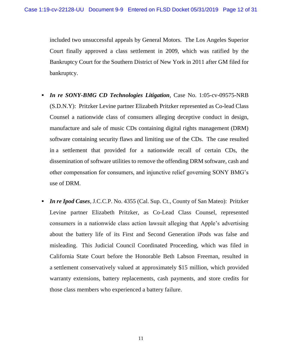included two unsuccessful appeals by General Motors. The Los Angeles Superior Court finally approved a class settlement in 2009, which was ratified by the Bankruptcy Court for the Southern District of New York in 2011 after GM filed for bankruptcy.

- *In re* SONY-BMG CD Technologies Litigation, Case No. 1:05-cv-09575-NRB (S.D.N.Y): Pritzker Levine partner Elizabeth Pritzker represented as Co-lead Class Counsel a nationwide class of consumers alleging deceptive conduct in design, manufacture and sale of music CDs containing digital rights management (DRM) software containing security flaws and limiting use of the CDs. The case resulted in a settlement that provided for a nationwide recall of certain CDs, the dissemination of software utilities to remove the offending DRM software, cash and other compensation for consumers, and injunctive relief governing SONY BMG's use of DRM.
- *In re Ipod Cases,* J.C.C.P. No. 4355 (Cal. Sup. Ct., County of San Mateo): Pritzker Levine partner Elizabeth Pritzker, as Co-Lead Class Counsel, represented consumers in a nationwide class action lawsuit alleging that Apple's advertising about the battery life of its First and Second Generation iPods was false and misleading. This Judicial Council Coordinated Proceeding, which was filed in California State Court before the Honorable Beth Labson Freeman, resulted in a settlement conservatively valued at approximately \$15 million, which provided warranty extensions, battery replacements, cash payments, and store credits for those class members who experienced a battery failure.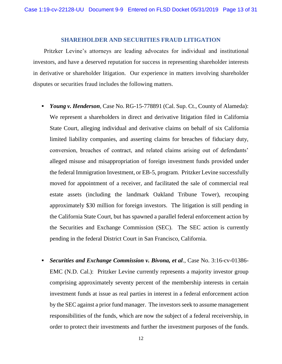#### **SHAREHOLDER AND SECURITIES FRAUD LITIGATION**

Pritzker Levine's attorneys are leading advocates for individual and institutional investors, and have a deserved reputation for success in representing shareholder interests in derivative or shareholder litigation. Our experience in matters involving shareholder disputes or securities fraud includes the following matters.

- *Young v. Henderson*, Case No. RG-15-778891 (Cal. Sup. Ct., County of Alameda): We represent a shareholders in direct and derivative litigation filed in California State Court, alleging individual and derivative claims on behalf of six California limited liability companies, and asserting claims for breaches of fiduciary duty, conversion, breaches of contract, and related claims arising out of defendants' alleged misuse and misappropriation of foreign investment funds provided under the federal Immigration Investment, or EB-5, program. Pritzker Levine successfully moved for appointment of a receiver, and facilitated the sale of commercial real estate assets (including the landmark Oakland Tribune Tower), recouping approximately \$30 million for foreign investors. The litigation is still pending in the California State Court, but has spawned a parallel federal enforcement action by the Securities and Exchange Commission (SEC). The SEC action is currently pending in the federal District Court in San Francisco, California.
- *Securities and Exchange Commission v. Bivona, et al*., Case No. [3:16-cv-01386-](https://ecf.cand.uscourts.gov/cgi-bin/DktRpt.pl?296841) [EMC](https://ecf.cand.uscourts.gov/cgi-bin/DktRpt.pl?296841) (N.D. Cal.): Pritzker Levine currently represents a majority investor group comprising approximately seventy percent of the membership interests in certain investment funds at issue as real parties in interest in a federal enforcement action by the SEC against a prior fund manager. The investors seek to assume management responsibilities of the funds, which are now the subject of a federal receivership, in order to protect their investments and further the investment purposes of the funds.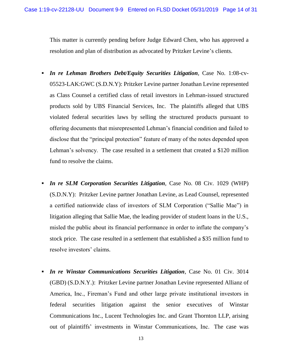This matter is currently pending before Judge Edward Chen, who has approved a resolution and plan of distribution as advocated by Pritzker Levine's clients.

- *In re Lehman Brothers Debt/Equity Securities Litigation*, Case No. 1:08-cv-05523-LAK:GWC (S.D.N.Y): Pritzker Levine partner Jonathan Levine represented as Class Counsel a certified class of retail investors in Lehman-issued structured products sold by UBS Financial Services, Inc. The plaintiffs alleged that UBS violated federal securities laws by selling the structured products pursuant to offering documents that misrepresented Lehman's financial condition and failed to disclose that the "principal protection" feature of many of the notes depended upon Lehman's solvency. The case resulted in a settlement that created a \$120 million fund to resolve the claims.
- *In re SLM Corporation Securities Litigation*, Case No. 08 Civ. 1029 (WHP) (S.D.N.Y): Pritzker Levine partner Jonathan Levine, as Lead Counsel, represented a certified nationwide class of investors of SLM Corporation ("Sallie Mae") in litigation alleging that Sallie Mae, the leading provider of student loans in the U.S., misled the public about its financial performance in order to inflate the company's stock price. The case resulted in a settlement that established a \$35 million fund to resolve investors' claims*.*
- *In re Winstar Communications Securities Litigation*, Case No. 01 Civ. 3014 (GBD) (S.D.N.Y.): Pritzker Levine partner Jonathan Levine represented Allianz of America, Inc., Fireman's Fund and other large private institutional investors in federal securities litigation against the senior executives of Winstar Communications Inc., Lucent Technologies Inc. and Grant Thornton LLP, arising out of plaintiffs' investments in Winstar Communications, Inc. The case was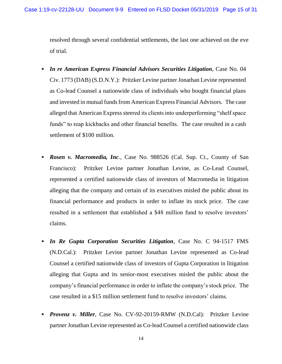resolved through several confidential settlements, the last one achieved on the eve of trial.

- *In re American Express Financial Advisors Securities Litigation*, Case No. 04 Civ. 1773 (DAB) (S.D.N.Y.): Pritzker Levine partner Jonathan Levine represented as Co-lead Counsel a nationwide class of individuals who bought financial plans and invested in mutual funds from American Express Financial Advisors. The case alleged that American Express steered its clients into underperforming "shelf space funds" to reap kickbacks and other financial benefits. The case resulted in a cash settlement of \$100 million.
- *Rosen v. Macromedia, Inc.*, Case No. 988526 (Cal. Sup. Ct., County of San Francisco): Pritzker Levine partner Jonathan Levine, as Co-Lead Counsel, represented a certified nationwide class of investors of Macromedia in litigation alleging that the company and certain of its executives misled the public about its financial performance and products in order to inflate its stock price. The case resulted in a settlement that established a \$48 million fund to resolve investors' claims*.*
- *In Re Gupta Corporation Securities Litigation*, Case No. C 94-1517 FMS (N.D.Cal.): Pritzker Levine partner Jonathan Levine represented as Co-lead Counsel a certified nationwide class of investors of Gupta Corporation in litigation alleging that Gupta and its senior-most executives misled the public about the company's financial performance in order to inflate the company's stock price. The case resulted in a \$15 million settlement fund to resolve investors' claims*.*
- *Provenz v. Miller*, Case No. CV-92-20159-RMW (N.D.Cal): Pritzker Levine partner Jonathan Levine represented as Co-lead Counsel a certified nationwide class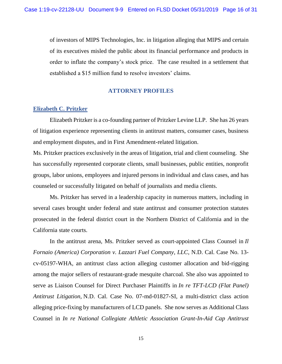of investors of MIPS Technologies, Inc. in litigation alleging that MIPS and certain of its executives misled the public about its financial performance and products in order to inflate the company's stock price. The case resulted in a settlement that established a \$15 million fund to resolve investors' claims*.*

# **ATTORNEY PROFILES**

# **Elizabeth C. Pritzker**

Elizabeth Pritzker is a co-founding partner of Pritzker Levine LLP. She has 26 years of litigation experience representing clients in antitrust matters, consumer cases, business and employment disputes, and in First Amendment-related litigation.

Ms. Pritzker practices exclusively in the areas of litigation, trial and client counseling. She has successfully represented corporate clients, small businesses, public entities, nonprofit groups, labor unions, employees and injured persons in individual and class cases, and has counseled or successfully litigated on behalf of journalists and media clients.

Ms. Pritzker has served in a leadership capacity in numerous matters, including in several cases brought under federal and state antitrust and consumer protection statutes prosecuted in the federal district court in the Northern District of California and in the California state courts.

In the antitrust arena, Ms. Pritzker served as court-appointed Class Counsel in *Il Fornaio (America) Corporation v. Lazzari Fuel Company, LLC*, N.D. Cal. Case No. 13 cv-05197-WHA, an antitrust class action alleging customer allocation and bid-rigging among the major sellers of restaurant-grade mesquite charcoal. She also was appointed to serve as Liaison Counsel for Direct Purchaser Plaintiffs in *In re TFT-LCD (Flat Panel) Antitrust Litigation,* N.D. Cal. Case No. 07-md-01827-SI, a multi-district class action alleging price-fixing by manufacturers of LCD panels. She now serves as Additional Class Counsel in *In re National Collegiate Athletic Association Grant-In-Aid Cap Antitrust*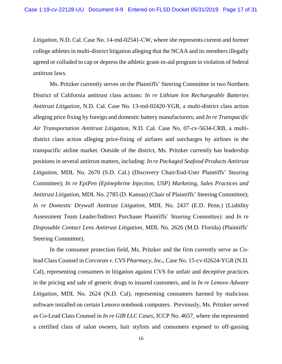*Litigation*, N.D. Cal. Case No. 14-md-02541-CW, where she represents current and former college athletes in multi-district litigation alleging that the NCAA and its members illegally agreed or colluded to cap or depress the athletic grant-in-aid program in violation of federal antitrust laws.

Ms. Pritzker currently serves on the Plaintiffs' Steering Committee in two Northern District of California antitrust class actions: *In re Lithium Ion Rechargeable Batteries Antitrust Litigation*, N.D. Cal. Case No. 13-md-02420-YGR, a multi-district class action alleging price fixing by foreign and domestic battery manufacturers; and *In re Transpacific Air Transportation Antitrust Litigation*, N.D. Cal. Case No. 07-cv-5634-CRB, a multidistrict class action alleging price-fixing of airfares and surcharges by airlines in the transpacific airline market. Outside of the district, Ms. Pritzker currently has leadership positions in several antitrust matters, including: *In re Packaged Seafood Products Antitrust Litigation*, MDL No. 2670 (S.D. Cal.) (Discovery Chair/End-User Plaintiffs' Steering Committee); *In re EpiPen (Epinephrine Injection, USP) Marketing, Sales Practices and Antitrust Litigation*, MDL No. 2785 (D. Kansas) (Chair of Plaintiffs' Steering Committee); *In re Domestic Drywall Antitrust Litigation*, MDL No. 2437 (E.D. Penn.) (Liability Assessment Team Leader/Indirect Purchaser Plaintiffs' Steering Committee): and *In re Disposable Contact Lens Antitrust Litigation,* MDL No. 2626 (M.D. Florida) (Plaintiffs' Steering Committee).

In the consumer protection field, Ms. Pritzker and the firm currently serve as Colead Class Counsel in *Corcoran v. CVS Pharmacy, Inc***.**, Case No. 15-cv-02624-YGR (N.D. Cal), representing consumers in litigation against CVS for unfair and deceptive practices in the pricing and sale of generic drugs to insured customers, and in *In re Lenovo Adware Litigation,* MDL No. 2624 (N.D. Cal), representing consumers harmed by malicious software installed on certain Lenovo notebook computers. Previously, Ms. Pritzker served as Co-Lead Class Counsel in *In re GIB LLC Cases*, JCCP No. 4657, where she represented a certified class of salon owners, hair stylists and consumers exposed to off‐gassing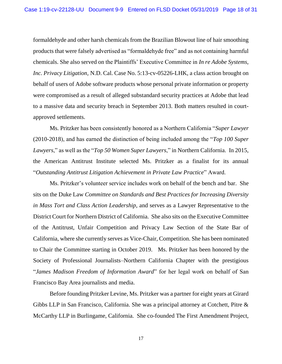formaldehyde and other harsh chemicals from the Brazilian Blowout line of hair smoothing products that were falsely advertised as "formaldehyde free" and as not containing harmful chemicals. She also served on the Plaintiffs' Executive Committee in *In re Adobe Systems, Inc. Privacy Litigation,* N.D. Cal. Case No. 5:13-cv-05226-LHK, a class action brought on behalf of users of Adobe software products whose personal private information or property were compromised as a result of alleged substandard security practices at Adobe that lead to a massive data and security breach in September 2013. Both matters resulted in courtapproved settlements.

Ms. Pritzker has been consistently honored as a Northern California "*Super Lawyer*  (2010-2018), and has earned the distinction of being included among the "*Top 100 Super Lawyers*," as well as the "*Top 50 Women Super Lawyers*," in Northern California. In 2015, the American Antitrust Institute selected Ms. Pritzker as a finalist for its annual "*Outstanding Antitrust Litigation Achievement in Private Law Practice*" Award.

Ms. Pritzker's volunteer service includes work on behalf of the bench and bar. She sits on the Duke Law *Committee on Standards and Best Practices for Increasing Diversity in Mass Tort and Class Action Leadership*, and serves as a Lawyer Representative to the District Court for Northern District of California. She also sits on the Executive Committee of the Antitrust, Unfair Competition and Privacy Law Section of the State Bar of California, where she currently serves as Vice-Chair, Competition. She has been nominated to Chair the Committee starting in October 2019. Ms. Pritzker has been honored by the Society of Professional Journalists–Northern California Chapter with the prestigious "*James Madison Freedom of Information Award*" for her legal work on behalf of San Francisco Bay Area journalists and media.

Before founding Pritzker Levine, Ms. Pritzker was a partner for eight years at Girard Gibbs LLP in San Francisco, California. She was a principal attorney at Cotchett, Pitre & McCarthy LLP in Burlingame, California. She co-founded The First Amendment Project,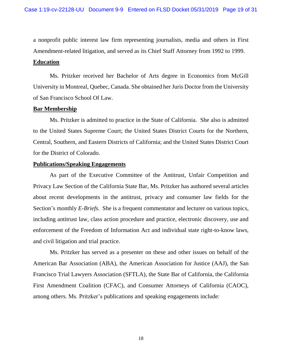a nonprofit public interest law firm representing journalists, media and others in First Amendment-related litigation, and served as its Chief Staff Attorney from 1992 to 1999.

#### **Education**

Ms. Pritzker received her Bachelor of Arts degree in Economics from McGill University in Montreal, Quebec, Canada. She obtained her Juris Doctor from the University of San Francisco School Of Law.

# **Bar Membership**

Ms. Pritzker is admitted to practice in the State of California. She also is admitted to the United States Supreme Court; the United States District Courts for the Northern, Central, Southern, and Eastern Districts of California; and the United States District Court for the District of Colorado.

#### **Publications/Speaking Engagements**

As part of the Executive Committee of the Antitrust, Unfair Competition and Privacy Law Section of the California State Bar, Ms. Pritzker has authored several articles about recent developments in the antitrust, privacy and consumer law fields for the Section's monthly *E-Briefs*. She is a frequent commentator and lecturer on various topics, including antitrust law, class action procedure and practice, electronic discovery, use and enforcement of the Freedom of Information Act and individual state right-to-know laws, and civil litigation and trial practice.

Ms. Pritzker has served as a presenter on these and other issues on behalf of the American Bar Association (ABA), the American Association for Justice (AAJ), the San Francisco Trial Lawyers Association (SFTLA), the State Bar of California, the California First Amendment Coalition (CFAC), and Consumer Attorneys of California (CAOC), among others. Ms. Pritzker's publications and speaking engagements include: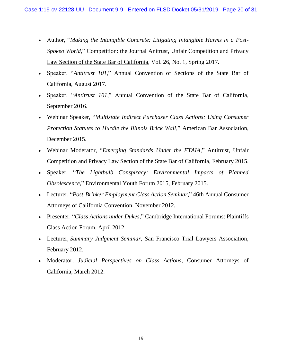- Author, "*Making the Intangible Concrete: Litigating Intangible Harms in a Post-Spokeo World*," Competition: the Journal Anitrust, Unfair Competition and Privacy Law Section of the State Bar of California, Vol. 26, No. 1, Spring 2017.
- Speaker, "*Antitrust 101*," Annual Convention of Sections of the State Bar of California, August 2017.
- Speaker, "*Antitrust 101*," Annual Convention of the State Bar of California, September 2016.
- Webinar Speaker, "*Multistate Indirect Purchaser Class Actions: Using Consumer Protection Statutes to Hurdle the Illinois Brick Wall*," American Bar Association, December 2015.
- Webinar Moderator, "*Emerging Standards Under the FTAIA*," Antitrust, Unfair Competition and Privacy Law Section of the State Bar of California, February 2015.
- Speaker, "*The Lightbulb Conspiracy: Environmental Impacts of Planned Obsolescence*," Environmental Youth Forum 2015, February 2015.
- Lecturer, "*Post-Brinker Employment Class Action Seminar*," 46th Annual Consumer Attorneys of California Convention. November 2012.
- Presenter, "*Class Actions under Dukes*," Cambridge International Forums: Plaintiffs Class Action Forum, April 2012.
- Lecturer, *Summary Judgment Seminar*, San Francisco Trial Lawyers Association, February 2012.
- Moderator*, Judicial Perspectives on Class Actions*, Consumer Attorneys of California, March 2012.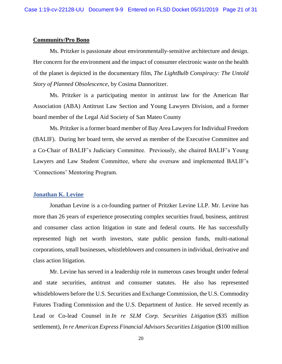#### **Community/Pro Bono**

Ms. Pritzker is passionate about environmentally‐sensitive architecture and design. Her concern for the environment and the impact of consumer electronic waste on the health of the planet is depicted in the documentary film, *The LightBulb Conspiracy: The Untold Story of Planned Obsolescence*, by Cosima Dannoritzer.

Ms. Pritzker is a participating mentor in antitrust law for the American Bar Association (ABA) Antitrust Law Section and Young Lawyers Division, and a former board member of the Legal Aid Society of San Mateo County

Ms. Pritzker is a former board member of Bay Area Lawyers for Individual Freedom (BALIF). During her board term, she served as member of the Executive Committee and a Co-Chair of BALIF's Judiciary Committee. Previously, she chaired BALIF's Young Lawyers and Law Student Committee, where she oversaw and implemented BALIF's 'Connections' Mentoring Program.

#### **Jonathan K. Levine**

Jonathan Levine is a co-founding partner of Pritzker Levine LLP. Mr. Levine has more than 26 years of experience prosecuting complex securities fraud, business, antitrust and consumer class action litigation in state and federal courts. He has successfully represented high net worth investors, state public pension funds, multi-national corporations, small businesses, whistleblowers and consumers in individual, derivative and class action litigation.

Mr. Levine has served in a leadership role in numerous cases brought under federal and state securities, antitrust and consumer statutes. He also has represented whistleblowers before the U.S. Securities and Exchange Commission, the U.S. Commodity Futures Trading Commission and the U.S. Department of Justice. He served recently as Lead or Co-lead Counsel in *In re SLM Corp. Securities Litigation* (\$35 million settlement), *In re American Express Financial Advisors Securities Litigation* (\$100 million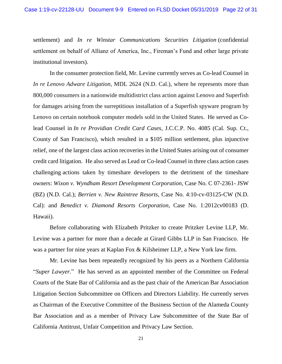settlement) and *In re Winstar Communications Securities Litigation* (confidential settlement on behalf of Allianz of America, Inc., Fireman's Fund and other large private institutional investors).

In the consumer protection field, Mr. Levine currently serves as Co-lead Counsel in *In re Lenovo Adware Litigation,* MDL 2624 (N.D. Cal.), where he represents more than 800,000 consumers in a nationwide multidistrict class action against Lenovo and Superfish for damages arising from the surreptitious installation of a Superfish spyware program by Lenovo on certain notebook computer models sold in the United States. He served as Colead Counsel in *In re Providian Credit Card Cases*, J.C.C.P. No. 4085 (Cal. Sup. Ct., County of San Francisco), which resulted in a \$105 million settlement, plus injunctive relief, one of the largest class action recoveries in the United States arising out of consumer credit card litigation. He also served as Lead or Co-lead Counsel in three class action cases challenging actions taken by timeshare developers to the detriment of the timeshare owners: *Wixon v. Wyndham Resort Development Corporation*, Case No. C 07-2361- JSW (BZ) (N.D. Cal.); *Berrien v. New Raintree Resorts*, Case No. 4:10-cv-03125-CW (N.D. Cal): and *Benedict v. Diamond Resorts Corporation,* Case No. 1:2012cv00183 (D. Hawaii).

Before collaborating with Elizabeth Pritzker to create Pritzker Levine LLP, Mr. Levine was a partner for more than a decade at Girard Gibbs LLP in San Francisco. He was a partner for nine years at Kaplan Fox & Kilsheimer LLP, a New York law firm.

Mr. Levine has been repeatedly recognized by his peers as a Northern California "*Super Lawyer*." He has served as an appointed member of the Committee on Federal Courts of the State Bar of California and as the past chair of the American Bar Association Litigation Section Subcommittee on Officers and Directors Liability. He currently serves as Chairman of the Executive Committee of the Business Section of the Alameda County Bar Association and as a member of Privacy Law Subcommittee of the State Bar of California Antitrust, Unfair Competition and Privacy Law Section.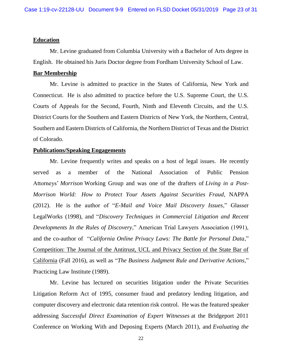#### **Education**

Mr. Levine graduated from Columbia University with a Bachelor of Arts degree in English. He obtained his Juris Doctor degree from Fordham University School of Law.

# **Bar Membership**

Mr. Levine is admitted to practice in the States of California, New York and Connecticut. He is also admitted to practice before the U.S. Supreme Court, the U.S. Courts of Appeals for the Second, Fourth, Ninth and Eleventh Circuits, and the U.S. District Courts for the Southern and Eastern Districts of New York, the Northern, Central, Southern and Eastern Districts of California, the Northern District of Texas and the District of Colorado.

#### **Publications/Speaking Engagements**

Mr. Levine frequently writes and speaks on a host of legal issues. He recently served as a member of the National Association of Public Pension Attorneys' *Morrison* Working Group and was one of the drafters of *Living in a Post-Morrison World: How to Protect Your Assets Against Securities Fraud*, NAPPA (2012). He is the author of "*E-Mail and Voice Mail Discovery Issues*," Glasser LegalWorks (1998), and "*Discovery Techniques in Commercial Litigation and Recent Developments In the Rules of Discovery*," American Trial Lawyers Association (1991), and the co-author of "*California Online Privacy Laws: The Battle for Personal Data*," Competition: The Journal of the Antitrust, UCL and Privacy Section of the State Bar of California (Fall 2016), as well as "*The Business Judgment Rule and Derivative Actions*," Practicing Law Institute (1989).

Mr. Levine has lectured on securities litigation under the Private Securities Litigation Reform Act of 1995, consumer fraud and predatory lending litigation, and computer discovery and electronic data retention risk control. He was the featured speaker addressing *Successful Direct Examination of Expert Witnesses* at the Bridgeport 2011 Conference on Working With and Deposing Experts (March 2011), and *Evaluating the*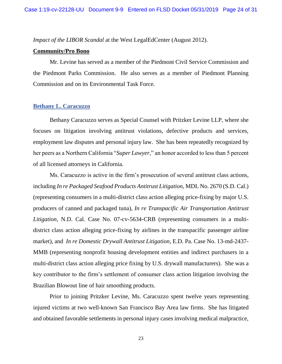*Impact of the LIBOR Scandal* at the West LegalEdCenter (August 2012).

#### **Community/Pro Bono**

Mr. Levine has served as a member of the Piedmont Civil Service Commission and the Piedmont Parks Commission. He also serves as a member of Piedmont Planning Commission and on its Environmental Task Force.

# **Bethany L. Caracuzzo**

Bethany Caracuzzo serves as Special Counsel with Pritzker Levine LLP, where she focuses on litigation involving antitrust violations, defective products and services, employment law disputes and personal injury law. She has been repeatedly recognized by her peers as a Northern California "*Super Lawyer*," an honor accorded to less than 5 percent of all licensed attorneys in California.

Ms. Caracuzzo is active in the firm's prosecution of several antitrust class actions, including *In re Packaged Seafood Products Antitrust Litigation*, MDL No. 2670 (S.D. Cal.) (representing consumers in a multi-district class action alleging price-fixing by major U.S. producers of canned and packaged tuna), *In re Transpacific Air Transportation Antitrust Litigation*, N.D. Cal. Case No. 07-cv-5634-CRB (representing consumers in a multidistrict class action alleging price-fixing by airlines in the transpacific passenger airline market), and *In re Domestic Drywall Antitrust Litigation*, E.D. Pa. Case No. 13-md-2437- MMB (representing nonprofit housing development entities and indirect purchasers in a multi-district class action alleging price fixing by U.S. drywall manufacturers). She was a key contributor to the firm's settlement of consumer class action litigation involving the Brazilian Blowout line of hair smoothing products.

Prior to joining Pritzker Levine, Ms. Caracuzzo spent twelve years representing injured victims at two well-known San Francisco Bay Area law firms. She has litigated and obtained favorable settlements in personal injury cases involving medical malpractice,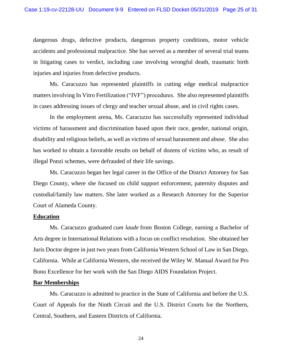dangerous drugs, defective products, dangerous property conditions, motor vehicle accidents and professional malpractice. She has served as a member of several trial teams in litigating cases to verdict, including case involving wrongful death, traumatic birth injuries and injuries from defective products.

Ms. Caracuzzo has represented plaintiffs in cutting edge medical malpractice matters involving In Vitro Fertilization ("IVF") procedures. She also represented plaintiffs in cases addressing issues of clergy and teacher sexual abuse, and in civil rights cases.

In the employment arena, Ms. Caracuzzo has successfully represented individual victims of harassment and discrimination based upon their race, gender, national origin, disability and religious beliefs, as well as victims of sexual harassment and abuse. She also has worked to obtain a favorable results on behalf of dozens of victims who, as result of illegal Ponzi schemes, were defrauded of their life savings.

Ms. Caracuzzo began her legal career in the Office of the District Attorney for San Diego County, where she focused on child support enforcement, paternity disputes and custodial/family law matters. She later worked as a Research Attorney for the Superior Court of Alameda County.

#### **Education**

Ms. Caracuzzo graduated *cum laude* from Boston College, earning a Bachelor of Arts degree in International Relations with a focus on conflict resolution. She obtained her Juris Doctor degree in just two years from California Western School of Law in San Diego, California. While at California Western, she received the Wiley W. Manual Award for Pro Bono Excellence for her work with the San Diego AIDS Foundation Project.

#### **Bar Memberships**

Ms. Caracuzzo is admitted to practice in the State of California and before the U.S. Court of Appeals for the Ninth Circuit and the U.S. District Courts for the Northern, Central, Southern, and Eastern Districts of California.

24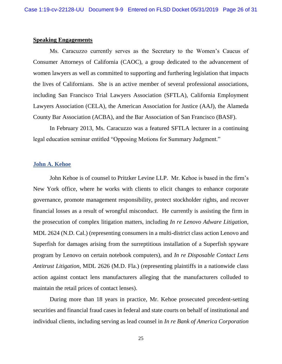#### **Speaking Engagements**

Ms. Caracuzzo currently serves as the Secretary to the Women's Caucus of Consumer Attorneys of California (CAOC), a group dedicated to the advancement of women lawyers as well as committed to supporting and furthering legislation that impacts the lives of Californians. She is an active member of several professional associations, including San Francisco Trial Lawyers Association (SFTLA), California Employment Lawyers Association (CELA), the American Association for Justice (AAJ), the Alameda County Bar Association (ACBA), and the Bar Association of San Francisco (BASF).

In February 2013, Ms. Caracuzzo was a featured SFTLA lecturer in a continuing legal education seminar entitled "Opposing Motions for Summary Judgment."

# **John A. Kehoe**

John Kehoe is of counsel to Pritzker Levine LLP. Mr. Kehoe is based in the firm's New York office, where he works with clients to elicit changes to enhance corporate governance, promote management responsibility, protect stockholder rights, and recover financial losses as a result of wrongful misconduct. He currently is assisting the firm in the prosecution of complex litigation matters, including *In re Lenovo Adware Litigation,* MDL 2624 (N.D. Cal.) (representing consumers in a multi-district class action Lenovo and Superfish for damages arising from the surreptitious installation of a Superfish spyware program by Lenovo on certain notebook computers), and *In re Disposable Contact Lens Antitrust Litigation*, MDL 2626 (M.D. Fla.) (representing plaintiffs in a nationwide class action against contact lens manufacturers alleging that the manufacturers colluded to maintain the retail prices of contact lenses).

During more than 18 years in practice, Mr. Kehoe prosecuted precedent-setting securities and financial fraud cases in federal and state courts on behalf of institutional and individual clients, including serving as lead counsel in *In re Bank of America Corporation*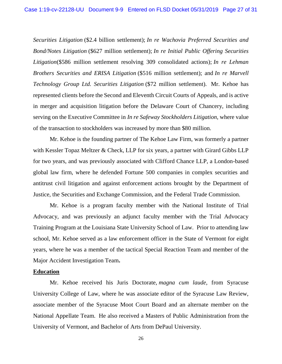*Securities Litigation* (\$2.4 billion settlement); *In re Wachovia Preferred Securities and Bond/Notes Litigation* (\$627 million settlement); *In re Initial Public Offering Securities Litigation*(\$586 million settlement resolving 309 consolidated actions); *In re Lehman Brothers Securities and ERISA Litigation* (\$516 million settlement); and *In re Marvell Technology Group Ltd. Securities Litigation* (\$72 million settlement). Mr. Kehoe has represented clients before the Second and Eleventh Circuit Courts of Appeals, and is active in merger and acquisition litigation before the Delaware Court of Chancery, including serving on the Executive Committee in *In re Safeway Stockholders Litigation*, where value of the transaction to stockholders was increased by more than \$80 million.

Mr. Kehoe is the founding partner of The Kehoe Law Firm, was formerly a partner with Kessler Topaz Meltzer & Check, LLP for six years, a partner with Girard Gibbs LLP for two years, and was previously associated with Clifford Chance LLP, a London-based global law firm, where he defended Fortune 500 companies in complex securities and antitrust civil litigation and against enforcement actions brought by the Department of Justice, the Securities and Exchange Commission, and the Federal Trade Commission.

Mr. Kehoe is a program faculty member with the National Institute of Trial Advocacy, and was previously an adjunct faculty member with the Trial Advocacy Training Program at the Louisiana State University School of Law. Prior to attending law school, Mr. Kehoe served as a law enforcement officer in the State of Vermont for eight years, where he was a member of the tactical Special Reaction Team and member of the Major Accident Investigation Team**.**

#### **Education**

Mr. Kehoe received his Juris Doctorate, *magna cum laude*, from Syracuse University College of Law, where he was associate editor of the Syracuse Law Review, associate member of the Syracuse Moot Court Board and an alternate member on the National Appellate Team. He also received a Masters of Public Administration from the University of Vermont, and Bachelor of Arts from DePaul University.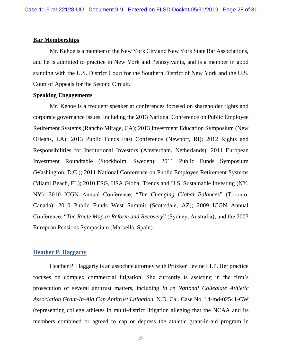#### **Bar Memberships**

Mr. Kehoe is a member of the New York City and New York State Bar Associations, and he is admitted to practice in New York and Pennsylvania, and is a member in good standing with the U.S. District Court for the Southern District of New York and the U.S. Court of Appeals for the Second Circuit.

#### **Speaking Engagements**

Mr. Kehoe is a frequent speaker at conferences focused on shareholder rights and corporate governance issues, including the 2013 National Conference on Public Employee Retirement Systems (Rancho Mirage, CA); 2013 Investment Education Symposium (New Orleans, LA); 2013 Public Funds East Conference (Newport, RI); 2012 Rights and Responsibilities for Institutional Investors (Amsterdam, Netherlands); 2011 European Investment Roundtable (Stockholm, Sweden); 2011 Public Funds Symposium (Washington, D.C.); 2011 National Conference on Public Employee Retirement Systems (Miami Beach, FL); 2010 ESG, USA Global Trends and U.S. Sustainable Investing (NY, NY); 2010 ICGN Annual Conference: "*The Changing Global Balances*" (Toronto, Canada); 2010 Public Funds West Summit (Scottsdale, AZ); 2009 ICGN Annual Conference: "*The Route Map to Reform and Recovery*" (Sydney, Australia); and the 2007 European Pensions Symposium (Marbella, Spain).

#### **Heather P. Haggarty**

Heather P. Haggarty is an associate attorney with Pritzker Levine LLP. Her practice focuses on complex commercial litigation. She currently is assisting in the firm's prosecution of several antitrust matters, including *In re National Collegiate Athletic Association Grant-In-Aid Cap Antitrust Litigation*, N.D. Cal. Case No. 14-md-02541-CW (representing college athletes in multi-district litigation alleging that the NCAA and its members combined or agreed to cap or depress the athletic grant-in-aid program in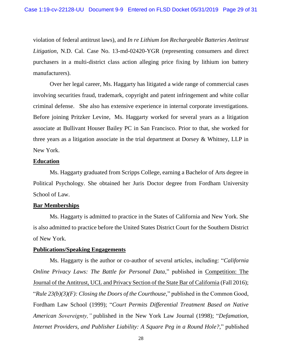violation of federal antitrust laws), and *In re Lithium Ion Rechargeable Batteries Antitrust Litigation*, N.D. Cal. Case No. 13-md-02420-YGR (representing consumers and direct purchasers in a multi-district class action alleging price fixing by lithium ion battery manufacturers).

Over her legal career, Ms. Haggarty has litigated a wide range of commercial cases involving securities fraud, trademark, copyright and patent infringement and white collar criminal defense. She also has extensive experience in internal corporate investigations. Before joining Pritzker Levine, Ms. Haggarty worked for several years as a litigation associate at Bullivant Houser Bailey PC in San Francisco. Prior to that, she worked for three years as a litigation associate in the trial department at Dorsey & Whitney, LLP in New York.

# **Education**

Ms. Haggarty graduated from Scripps College, earning a Bachelor of Arts degree in Political Psychology. She obtained her Juris Doctor degree from Fordham University School of Law.

# **Bar Memberships**

Ms. Haggarty is admitted to practice in the States of California and New York. She is also admitted to practice before the United States District Court for the Southern District of New York.

#### **Publications/Speaking Engagements**

Ms. Haggarty is the author or co-author of several articles, including: "*California Online Privacy Laws: The Battle for Personal Data*," published in *Competition: The* Journal of the Antitrust, UCL and Privacy Section of the State Bar of California (Fall 2016); "*Rule 23(b)(3)(F): Closing the Doors of the Courthouse,*" published in the Common Good, Fordham Law School (1999); "*Court Permits Differential Treatment Based on Native American Sovereignty,"* published in the New York Law Journal (1998); "*Defamation, Internet Providers, and Publisher Liability: A Square Peg in a Round Hole?*," published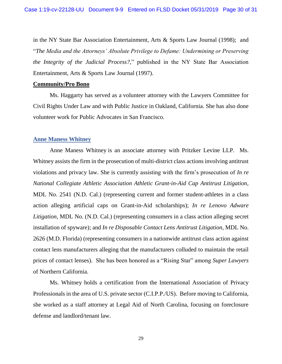in the NY State Bar Association Entertainment, Arts & Sports Law Journal (1998); and "*The Media and the Attorneys' Absolute Privilege to Defame: Undermining or Preserving the Integrity of the Judicial Process?*," published in the NY State Bar Association Entertainment, Arts & Sports Law Journal (1997).

#### **Community/Pro Bono**

Ms. Haggarty has served as a volunteer attorney with the Lawyers Committee for Civil Rights Under Law and with Public Justice in Oakland, California. She has also done volunteer work for Public Advocates in San Francisco.

#### **Anne Maness Whitney**

Anne Maness Whitney is an associate attorney with Pritzker Levine LLP. Ms. Whitney assists the firm in the prosecution of multi-district class actions involving antitrust violations and privacy law. She is currently assisting with the firm's prosecution of *In re National Collegiate Athletic Association Athletic Grant-in-Aid Cap Antitrust Litigation*, MDL No. 2541 (N.D. Cal.) (representing current and former student-athletes in a class action alleging artificial caps on Grant-in-Aid scholarships); *In re Lenovo Adware Litigation*, MDL No. (N.D. Cal.) (representing consumers in a class action alleging secret installation of spyware); and *In re Disposable Contact Lens Antitrust Litigation*, MDL No. 2626 (M.D. Florida) (representing consumers in a nationwide antitrust class action against contact lens manufacturers alleging that the manufacturers colluded to maintain the retail prices of contact lenses). She has been honored as a "Rising Star" among *Super Lawyers* of Northern California.

Ms. Whitney holds a certification from the International Association of Privacy Professionals in the area of U.S. private sector (C.I.P.P./US). Before moving to California, she worked as a staff attorney at Legal Aid of North Carolina, focusing on foreclosure defense and landlord/tenant law.